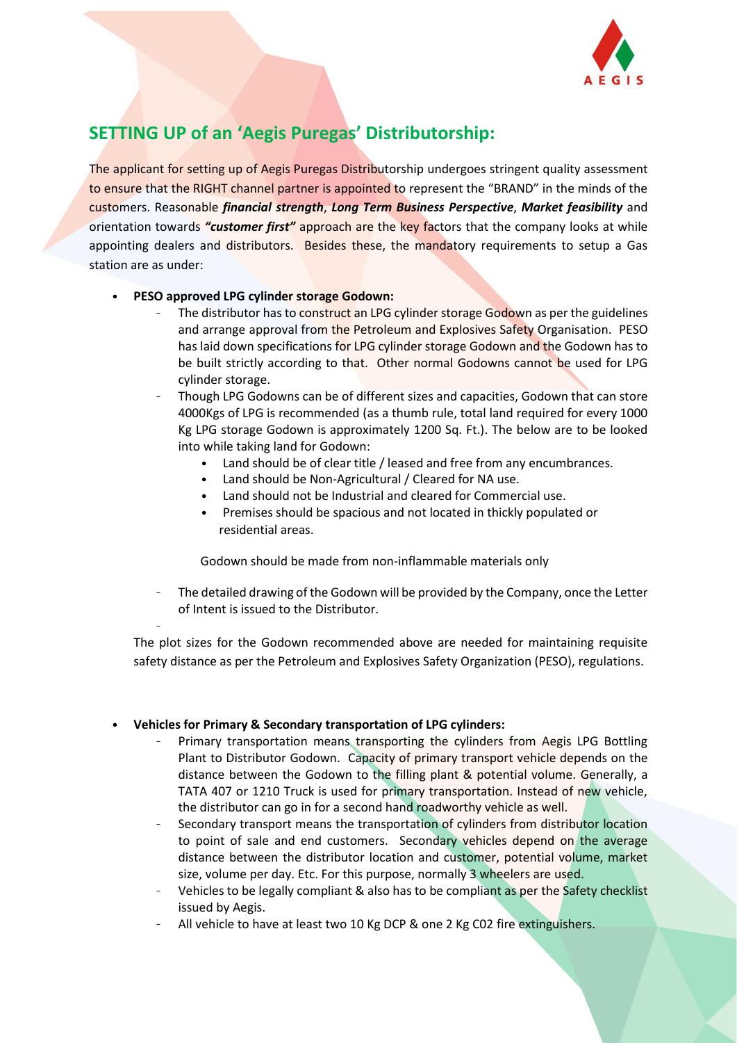

# **SETTING UP of an 'Aegis Puregas' Distributorship:**

The applicant for setting up of Aegis Puregas Distributorship undergoes stringent quality assessment to ensure that the RIGHT channel partner is appointed to represent the "BRAND" in the minds of the customers. Reasonable *financial strength*, *Long Term Business Perspective*, *Market feasibility* and orientation towards *"customer first"* approach are the key factors that the company looks at while appointing dealers and distributors. Besides these, the mandatory requirements to setup a Gas station are as under:

### • **PESO approved LPG cylinder storage Godown:**

–

- The distributor has to construct an LPG cylinder storage Godown as per the guidelines and arrange approval from the Petroleum and Explosives Safety Organisation. PESO has laid down specifications for LPG cylinder storage Godown and the Godown has to be built strictly according to that. Other normal Godowns cannot be used for LPG cylinder storage.
- Though LPG Godowns can be of different sizes and capacities, Godown that can store 4000Kgs of LPG is recommended (as a thumb rule, total land required for every 1000 Kg LPG storage Godown is approximately 1200 Sq. Ft.). The below are to be looked into while taking land for Godown:
	- Land should be of clear title / leased and free from any encumbrances.
	- Land should be Non-Agricultural / Cleared for NA use.
	- Land should not be Industrial and cleared for Commercial use.
	- Premises should be spacious and not located in thickly populated or residential areas.

Godown should be made from non-inflammable materials only

– The detailed drawing of the Godown will be provided by the Company, once the Letter of Intent is issued to the Distributor.

The plot sizes for the Godown recommended above are needed for maintaining requisite safety distance as per the Petroleum and Explosives Safety Organization (PESO), regulations.

### • **Vehicles for Primary & Secondary transportation of LPG cylinders:**

- Primary transportation means transporting the cylinders from Aegis LPG Bottling Plant to Distributor Godown. Capacity of primary transport vehicle depends on the distance between the Godown to the filling plant & potential volume. Generally, a TATA 407 or 1210 Truck is used for primary transportation. Instead of new vehicle, the distributor can go in for a second hand roadworthy vehicle as well.
- Secondary transport means the transportation of cylinders from distributor location to point of sale and end customers. Secondary vehicles depend on the average distance between the distributor location and customer, potential volume, market size, volume per day. Etc. For this purpose, normally 3 wheelers are used.
- Vehicles to be legally compliant & also has to be compliant as per the Safety checklist issued by Aegis.
- All vehicle to have at least two 10 Kg DCP & one 2 Kg C02 fire extinguishers.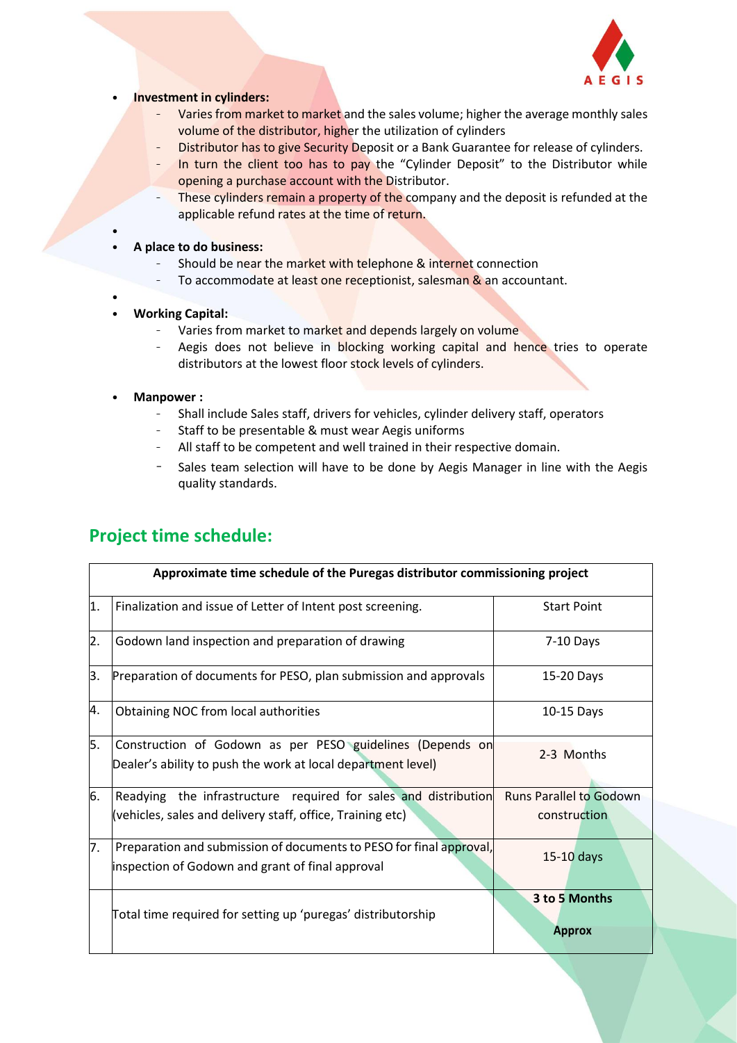

#### • **Investment in cylinders:**

- Varies from market to market and the sales volume; higher the average monthly sales volume of the distributor, higher the utilization of cylinders
- Distributor has to give Security Deposit or a Bank Guarantee for release of cylinders.
- In turn the client too has to pay the "Cylinder Deposit" to the Distributor while opening a purchase account with the Distributor.
- These cylinders remain a property of the company and the deposit is refunded at the applicable refund rates at the time of return.
- **A place to do business:**
	- Should be near the market with telephone & internet connection
	- To accommodate at least one receptionist, salesman & an accountant.
- • **Working Capital:**

•

- Varies from market to market and depends largely on volume
- Aegis does not believe in blocking working capital and hence tries to operate distributors at the lowest floor stock levels of cylinders.
- **Manpower :**
	- Shall include Sales staff, drivers for vehicles, cylinder delivery staff, operators
	- Staff to be presentable & must wear Aegis uniforms
	- All staff to be competent and well trained in their respective domain.
	- Sales team selection will have to be done by Aegis Manager in line with the Aegis quality standards.

| Approximate time schedule of the Puregas distributor commissioning project |                                                                                                                               |                                                |
|----------------------------------------------------------------------------|-------------------------------------------------------------------------------------------------------------------------------|------------------------------------------------|
| 1.                                                                         | Finalization and issue of Letter of Intent post screening.                                                                    | <b>Start Point</b>                             |
| 2.                                                                         | Godown land inspection and preparation of drawing                                                                             | $7-10$ Days                                    |
| 3.                                                                         | Preparation of documents for PESO, plan submission and approvals                                                              | 15-20 Days                                     |
| 4.                                                                         | Obtaining NOC from local authorities                                                                                          | 10-15 Days                                     |
| 5.                                                                         | Construction of Godown as per PESO guidelines (Depends on<br>Dealer's ability to push the work at local department level)     | 2-3 Months                                     |
| 6.                                                                         | Readying the infrastructure required for sales and distribution<br>(vehicles, sales and delivery staff, office, Training etc) | <b>Runs Parallel to Godown</b><br>construction |
| 7.                                                                         | Preparation and submission of documents to PESO for final approval,<br>inspection of Godown and grant of final approval       | $15-10$ days                                   |
|                                                                            | Total time required for setting up 'puregas' distributorship                                                                  | 3 to 5 Months<br><b>Approx</b>                 |

# **Project time schedule:**